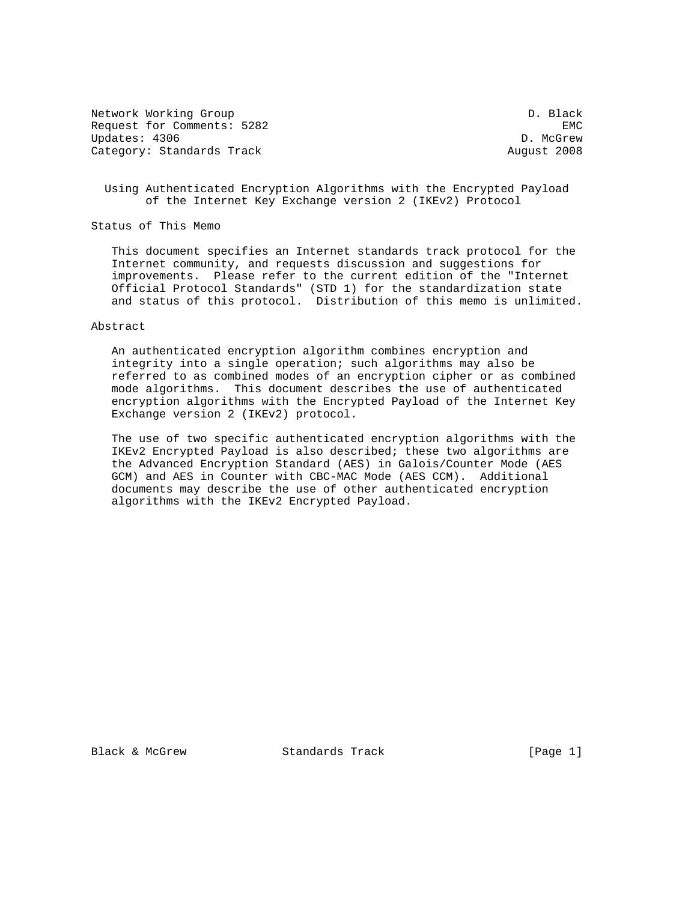Network Working Group Description of the U.S. and D. Black Request for Comments: 5282 EMC Updates: 4306 D. McGrew Category: Standards Track August 2008

 Using Authenticated Encryption Algorithms with the Encrypted Payload of the Internet Key Exchange version 2 (IKEv2) Protocol

Status of This Memo

 This document specifies an Internet standards track protocol for the Internet community, and requests discussion and suggestions for improvements. Please refer to the current edition of the "Internet Official Protocol Standards" (STD 1) for the standardization state and status of this protocol. Distribution of this memo is unlimited.

#### Abstract

 An authenticated encryption algorithm combines encryption and integrity into a single operation; such algorithms may also be referred to as combined modes of an encryption cipher or as combined mode algorithms. This document describes the use of authenticated encryption algorithms with the Encrypted Payload of the Internet Key Exchange version 2 (IKEv2) protocol.

 The use of two specific authenticated encryption algorithms with the IKEv2 Encrypted Payload is also described; these two algorithms are the Advanced Encryption Standard (AES) in Galois/Counter Mode (AES GCM) and AES in Counter with CBC-MAC Mode (AES CCM). Additional documents may describe the use of other authenticated encryption algorithms with the IKEv2 Encrypted Payload.

Black & McGrew Standards Track [Page 1]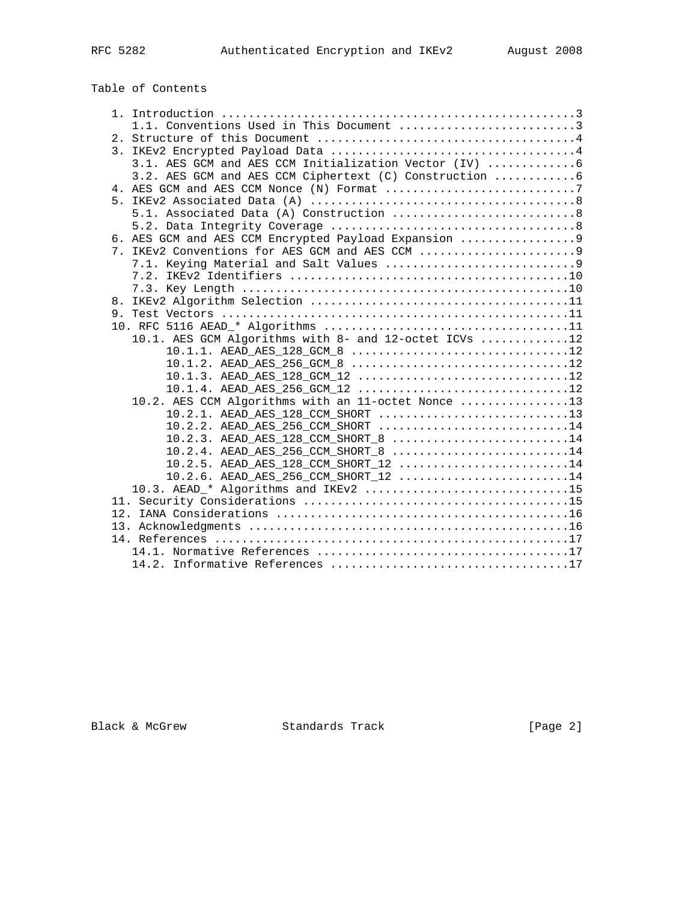# Table of Contents

| 1.1. Conventions Used in This Document 3                |
|---------------------------------------------------------|
|                                                         |
|                                                         |
| 3.1. AES GCM and AES CCM Initialization Vector (IV)  6  |
| 3.2. AES GCM and AES CCM Ciphertext (C) Construction  6 |
| 4. AES GCM and AES CCM Nonce (N) Format 7               |
|                                                         |
|                                                         |
|                                                         |
| 6. AES GCM and AES CCM Encrypted Payload Expansion 9    |
|                                                         |
|                                                         |
|                                                         |
|                                                         |
| 8.                                                      |
|                                                         |
| 10.1. AES GCM Algorithms with 8- and 12-octet ICVs 12   |
| 10.1.1. AEAD AES 128 GCM 8 12                           |
| $10.1.2.$ AEAD_AES_256_GCM_8 12                         |
| 10.1.3. AEAD AES 128 GCM 12 12                          |
| 10.1.4. AEAD AES 256 GCM 12 12                          |
| 10.2. AES CCM Algorithms with an 11-octet Nonce 13      |
| 10.2.1. AEAD AES 128 CCM SHORT 13                       |
| 10.2.2. AEAD AES 256 CCM SHORT 14                       |
| 10.2.3. AEAD AES 128 CCM SHORT 8 14                     |
| $10.2.4$ . AEAD_AES_256_CCM_SHORT_8 14                  |
| $10.2.5.$ AEAD_AES_128_CCM_SHORT_12 14                  |
| 10.2.6. AEAD_AES_256_CCM_SHORT_12 14                    |
| 10.3. AEAD * Algorithms and IKEv2 15                    |
|                                                         |
|                                                         |
|                                                         |
|                                                         |
|                                                         |
|                                                         |

Black & McGrew Standards Track [Page 2]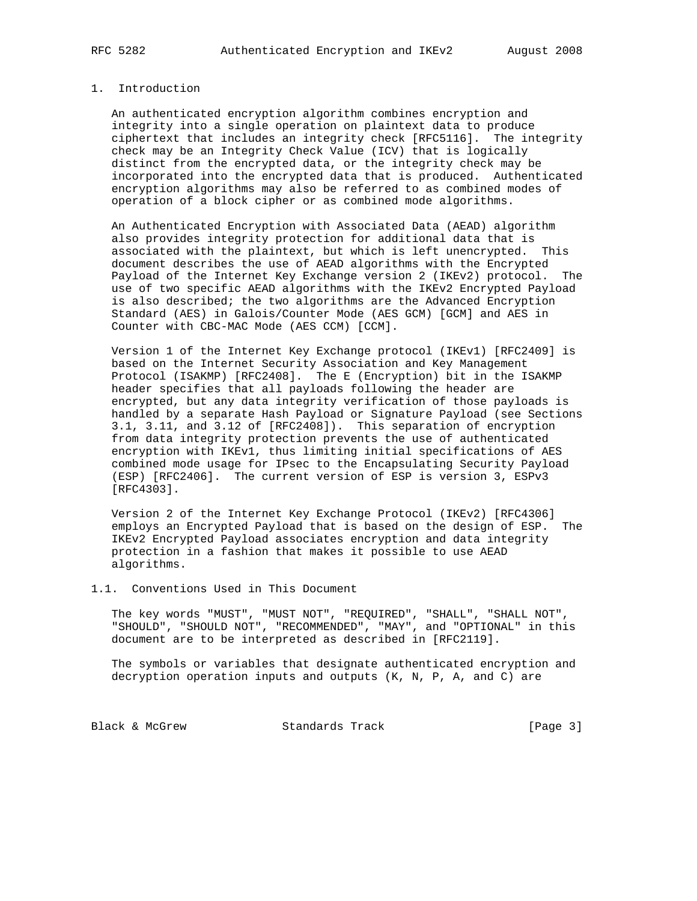#### 1. Introduction

 An authenticated encryption algorithm combines encryption and integrity into a single operation on plaintext data to produce ciphertext that includes an integrity check [RFC5116]. The integrity check may be an Integrity Check Value (ICV) that is logically distinct from the encrypted data, or the integrity check may be incorporated into the encrypted data that is produced. Authenticated encryption algorithms may also be referred to as combined modes of operation of a block cipher or as combined mode algorithms.

 An Authenticated Encryption with Associated Data (AEAD) algorithm also provides integrity protection for additional data that is associated with the plaintext, but which is left unencrypted. This document describes the use of AEAD algorithms with the Encrypted Payload of the Internet Key Exchange version 2 (IKEv2) protocol. The use of two specific AEAD algorithms with the IKEv2 Encrypted Payload is also described; the two algorithms are the Advanced Encryption Standard (AES) in Galois/Counter Mode (AES GCM) [GCM] and AES in Counter with CBC-MAC Mode (AES CCM) [CCM].

 Version 1 of the Internet Key Exchange protocol (IKEv1) [RFC2409] is based on the Internet Security Association and Key Management Protocol (ISAKMP) [RFC2408]. The E (Encryption) bit in the ISAKMP header specifies that all payloads following the header are encrypted, but any data integrity verification of those payloads is handled by a separate Hash Payload or Signature Payload (see Sections 3.1, 3.11, and 3.12 of [RFC2408]). This separation of encryption from data integrity protection prevents the use of authenticated encryption with IKEv1, thus limiting initial specifications of AES combined mode usage for IPsec to the Encapsulating Security Payload (ESP) [RFC2406]. The current version of ESP is version 3, ESPv3 [RFC4303].

 Version 2 of the Internet Key Exchange Protocol (IKEv2) [RFC4306] employs an Encrypted Payload that is based on the design of ESP. The IKEv2 Encrypted Payload associates encryption and data integrity protection in a fashion that makes it possible to use AEAD algorithms.

#### 1.1. Conventions Used in This Document

 The key words "MUST", "MUST NOT", "REQUIRED", "SHALL", "SHALL NOT", "SHOULD", "SHOULD NOT", "RECOMMENDED", "MAY", and "OPTIONAL" in this document are to be interpreted as described in [RFC2119].

 The symbols or variables that designate authenticated encryption and decryption operation inputs and outputs (K, N, P, A, and C) are

Black & McGrew Standards Track [Page 3]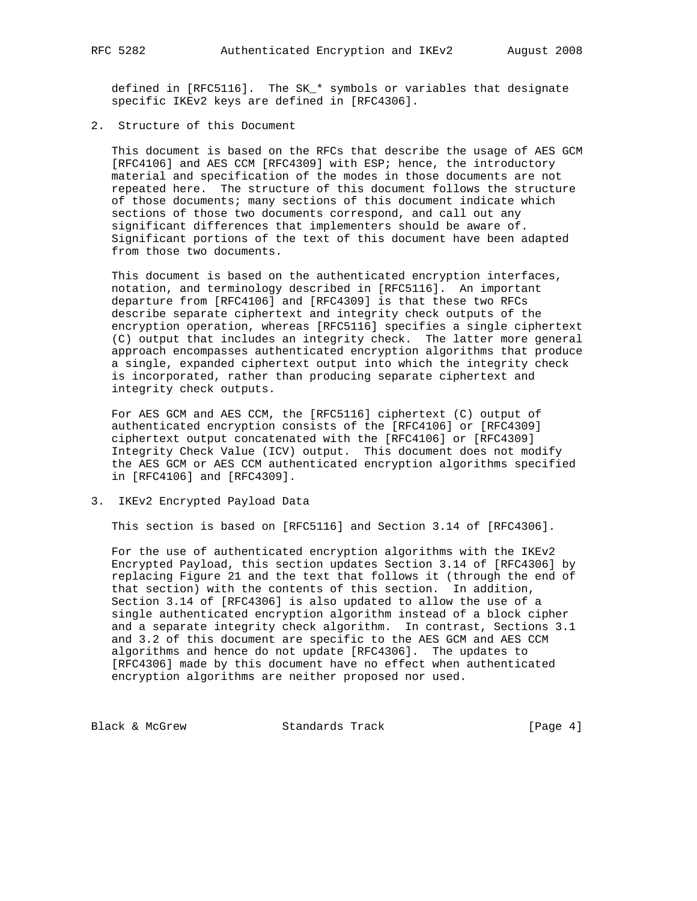defined in [RFC5116]. The SK\_\* symbols or variables that designate specific IKEv2 keys are defined in [RFC4306].

2. Structure of this Document

 This document is based on the RFCs that describe the usage of AES GCM [RFC4106] and AES CCM [RFC4309] with ESP; hence, the introductory material and specification of the modes in those documents are not repeated here. The structure of this document follows the structure of those documents; many sections of this document indicate which sections of those two documents correspond, and call out any significant differences that implementers should be aware of. Significant portions of the text of this document have been adapted from those two documents.

 This document is based on the authenticated encryption interfaces, notation, and terminology described in [RFC5116]. An important departure from [RFC4106] and [RFC4309] is that these two RFCs describe separate ciphertext and integrity check outputs of the encryption operation, whereas [RFC5116] specifies a single ciphertext (C) output that includes an integrity check. The latter more general approach encompasses authenticated encryption algorithms that produce a single, expanded ciphertext output into which the integrity check is incorporated, rather than producing separate ciphertext and integrity check outputs.

 For AES GCM and AES CCM, the [RFC5116] ciphertext (C) output of authenticated encryption consists of the [RFC4106] or [RFC4309] ciphertext output concatenated with the [RFC4106] or [RFC4309] Integrity Check Value (ICV) output. This document does not modify the AES GCM or AES CCM authenticated encryption algorithms specified in [RFC4106] and [RFC4309].

3. IKEv2 Encrypted Payload Data

This section is based on [RFC5116] and Section 3.14 of [RFC4306].

 For the use of authenticated encryption algorithms with the IKEv2 Encrypted Payload, this section updates Section 3.14 of [RFC4306] by replacing Figure 21 and the text that follows it (through the end of that section) with the contents of this section. In addition, Section 3.14 of [RFC4306] is also updated to allow the use of a single authenticated encryption algorithm instead of a block cipher and a separate integrity check algorithm. In contrast, Sections 3.1 and 3.2 of this document are specific to the AES GCM and AES CCM algorithms and hence do not update [RFC4306]. The updates to [RFC4306] made by this document have no effect when authenticated encryption algorithms are neither proposed nor used.

Black & McGrew Standards Track [Page 4]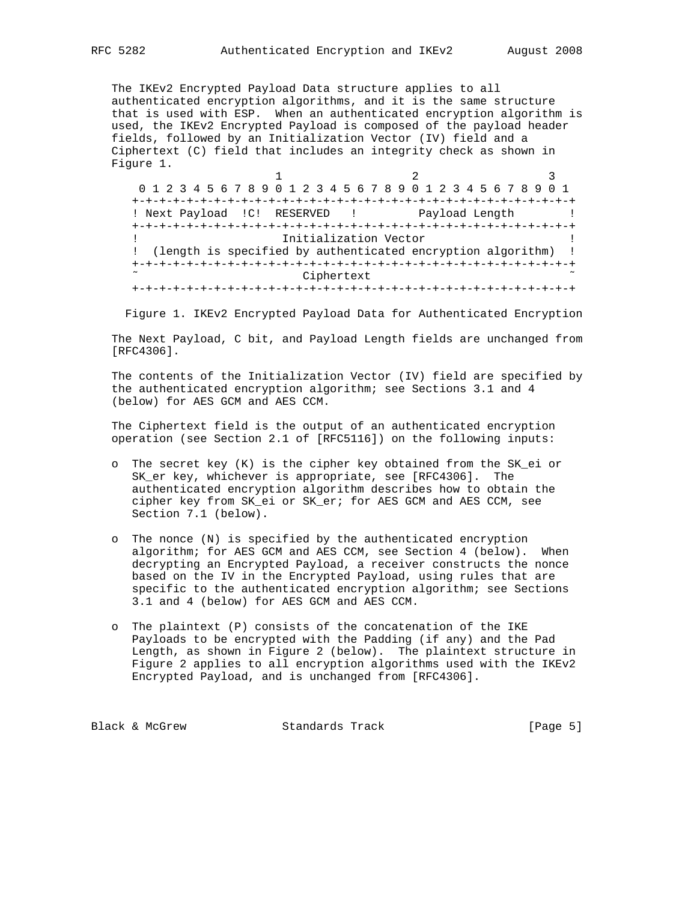The IKEv2 Encrypted Payload Data structure applies to all authenticated encryption algorithms, and it is the same structure that is used with ESP. When an authenticated encryption algorithm is used, the IKEv2 Encrypted Payload is composed of the payload header fields, followed by an Initialization Vector (IV) field and a Ciphertext (C) field that includes an integrity check as shown in Figure 1.

1 2 3 0 1 2 3 4 5 6 7 8 9 0 1 2 3 4 5 6 7 8 9 0 1 2 3 4 5 6 7 8 9 0 1 +-+-+-+-+-+-+-+-+-+-+-+-+-+-+-+-+-+-+-+-+-+-+-+-+-+-+-+-+-+-+-+-+ ! Next Payload !C! RESERVED ! Payload Length ! +-+-+-+-+-+-+-+-+-+-+-+-+-+-+-+-+-+-+-+-+-+-+-+-+-+-+-+-+-+-+-+-+ ! Initialization Vector ! ! (length is specified by authenticated encryption algorithm) ! +-+-+-+-+-+-+-+-+-+-+-+-+-+-+-+-+-+-+-+-+-+-+-+-+-+-+-+-+-+-+-+-+ Ciphertext +-+-+-+-+-+-+-+-+-+-+-+-+-+-+-+-+-+-+-+-+-+-+-+-+-+-+-+-+-+-+-+-+

Figure 1. IKEv2 Encrypted Payload Data for Authenticated Encryption

 The Next Payload, C bit, and Payload Length fields are unchanged from [RFC4306].

 The contents of the Initialization Vector (IV) field are specified by the authenticated encryption algorithm; see Sections 3.1 and 4 (below) for AES GCM and AES CCM.

 The Ciphertext field is the output of an authenticated encryption operation (see Section 2.1 of [RFC5116]) on the following inputs:

- o The secret key (K) is the cipher key obtained from the SK\_ei or SK\_er key, whichever is appropriate, see [RFC4306]. The authenticated encryption algorithm describes how to obtain the cipher key from SK\_ei or SK\_er; for AES GCM and AES CCM, see Section 7.1 (below).
- o The nonce (N) is specified by the authenticated encryption algorithm; for AES GCM and AES CCM, see Section 4 (below). When decrypting an Encrypted Payload, a receiver constructs the nonce based on the IV in the Encrypted Payload, using rules that are specific to the authenticated encryption algorithm; see Sections 3.1 and 4 (below) for AES GCM and AES CCM.
- o The plaintext (P) consists of the concatenation of the IKE Payloads to be encrypted with the Padding (if any) and the Pad Length, as shown in Figure 2 (below). The plaintext structure in Figure 2 applies to all encryption algorithms used with the IKEv2 Encrypted Payload, and is unchanged from [RFC4306].

Black & McGrew Standards Track [Page 5]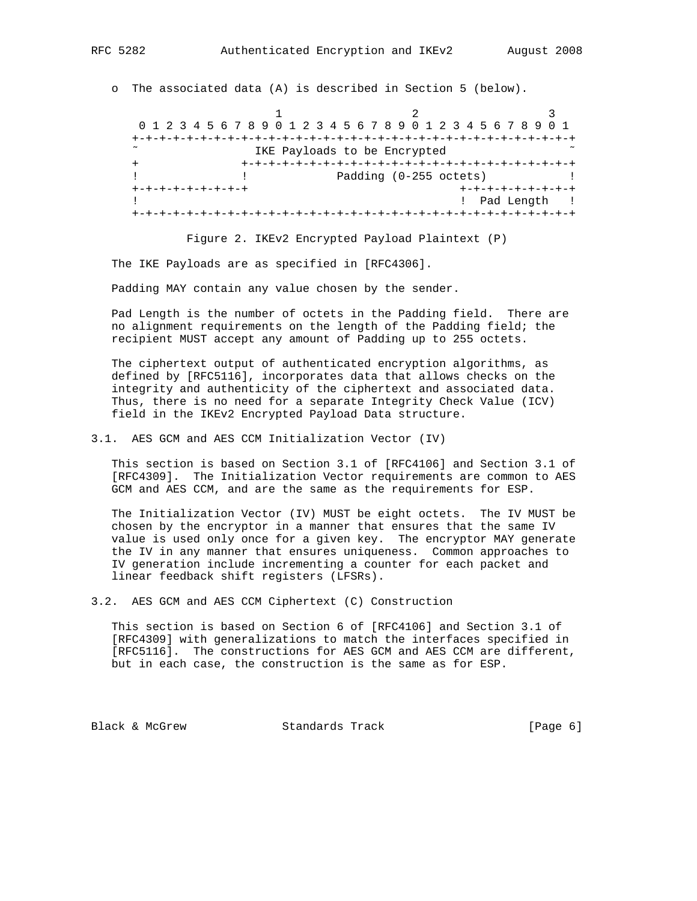o The associated data (A) is described in Section 5 (below).

1 2 3 0 1 2 3 4 5 6 7 8 9 0 1 2 3 4 5 6 7 8 9 0 1 2 3 4 5 6 7 8 9 0 1 +-+-+-+-+-+-+-+-+-+-+-+-+-+-+-+-+-+-+-+-+-+-+-+-+-+-+-+-+-+-+-+-+ IKE Payloads to be Encrypted + +-+-+-+-+-+-+-+-+-+-+-+-+-+-+-+-+-+-+-+-+-+-+-+-+ Padding (0-255 octets) +-+-+-+-+-+-+-+-+ +-+-+-+-+-+-+-+-+ ! Pad Length ! +-+-+-+-+-+-+-+-+-+-+-+-+-+-+-+-+-+-+-+-+-+-+-+-+-+-+-+-+-+-+-+-+

Figure 2. IKEv2 Encrypted Payload Plaintext (P)

The IKE Payloads are as specified in [RFC4306].

Padding MAY contain any value chosen by the sender.

 Pad Length is the number of octets in the Padding field. There are no alignment requirements on the length of the Padding field; the recipient MUST accept any amount of Padding up to 255 octets.

 The ciphertext output of authenticated encryption algorithms, as defined by [RFC5116], incorporates data that allows checks on the integrity and authenticity of the ciphertext and associated data. Thus, there is no need for a separate Integrity Check Value (ICV) field in the IKEv2 Encrypted Payload Data structure.

3.1. AES GCM and AES CCM Initialization Vector (IV)

 This section is based on Section 3.1 of [RFC4106] and Section 3.1 of [RFC4309]. The Initialization Vector requirements are common to AES GCM and AES CCM, and are the same as the requirements for ESP.

 The Initialization Vector (IV) MUST be eight octets. The IV MUST be chosen by the encryptor in a manner that ensures that the same IV value is used only once for a given key. The encryptor MAY generate the IV in any manner that ensures uniqueness. Common approaches to IV generation include incrementing a counter for each packet and linear feedback shift registers (LFSRs).

3.2. AES GCM and AES CCM Ciphertext (C) Construction

 This section is based on Section 6 of [RFC4106] and Section 3.1 of [RFC4309] with generalizations to match the interfaces specified in [RFC5116]. The constructions for AES GCM and AES CCM are different, but in each case, the construction is the same as for ESP.

Black & McGrew Standards Track [Page 6]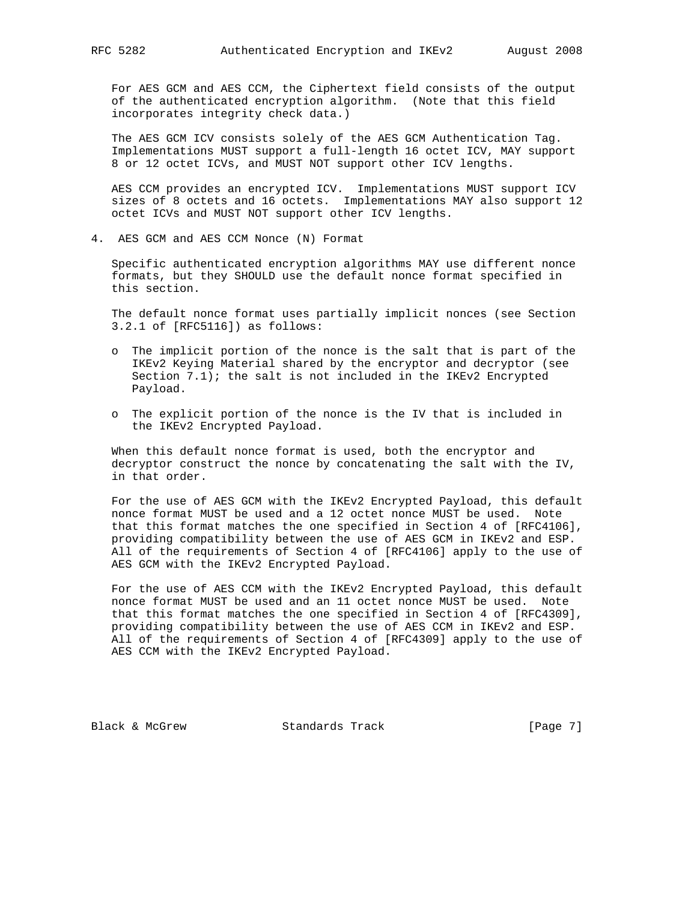For AES GCM and AES CCM, the Ciphertext field consists of the output of the authenticated encryption algorithm. (Note that this field incorporates integrity check data.)

 The AES GCM ICV consists solely of the AES GCM Authentication Tag. Implementations MUST support a full-length 16 octet ICV, MAY support 8 or 12 octet ICVs, and MUST NOT support other ICV lengths.

 AES CCM provides an encrypted ICV. Implementations MUST support ICV sizes of 8 octets and 16 octets. Implementations MAY also support 12 octet ICVs and MUST NOT support other ICV lengths.

4. AES GCM and AES CCM Nonce (N) Format

 Specific authenticated encryption algorithms MAY use different nonce formats, but they SHOULD use the default nonce format specified in this section.

 The default nonce format uses partially implicit nonces (see Section 3.2.1 of [RFC5116]) as follows:

- o The implicit portion of the nonce is the salt that is part of the IKEv2 Keying Material shared by the encryptor and decryptor (see Section  $7.1$ ); the salt is not included in the IKEv2 Encrypted Payload.
- o The explicit portion of the nonce is the IV that is included in the IKEv2 Encrypted Payload.

 When this default nonce format is used, both the encryptor and decryptor construct the nonce by concatenating the salt with the IV, in that order.

 For the use of AES GCM with the IKEv2 Encrypted Payload, this default nonce format MUST be used and a 12 octet nonce MUST be used. Note that this format matches the one specified in Section 4 of [RFC4106], providing compatibility between the use of AES GCM in IKEv2 and ESP. All of the requirements of Section 4 of [RFC4106] apply to the use of AES GCM with the IKEv2 Encrypted Payload.

 For the use of AES CCM with the IKEv2 Encrypted Payload, this default nonce format MUST be used and an 11 octet nonce MUST be used. Note that this format matches the one specified in Section 4 of [RFC4309], providing compatibility between the use of AES CCM in IKEv2 and ESP. All of the requirements of Section 4 of [RFC4309] apply to the use of AES CCM with the IKEv2 Encrypted Payload.

Black & McGrew Standards Track [Page 7]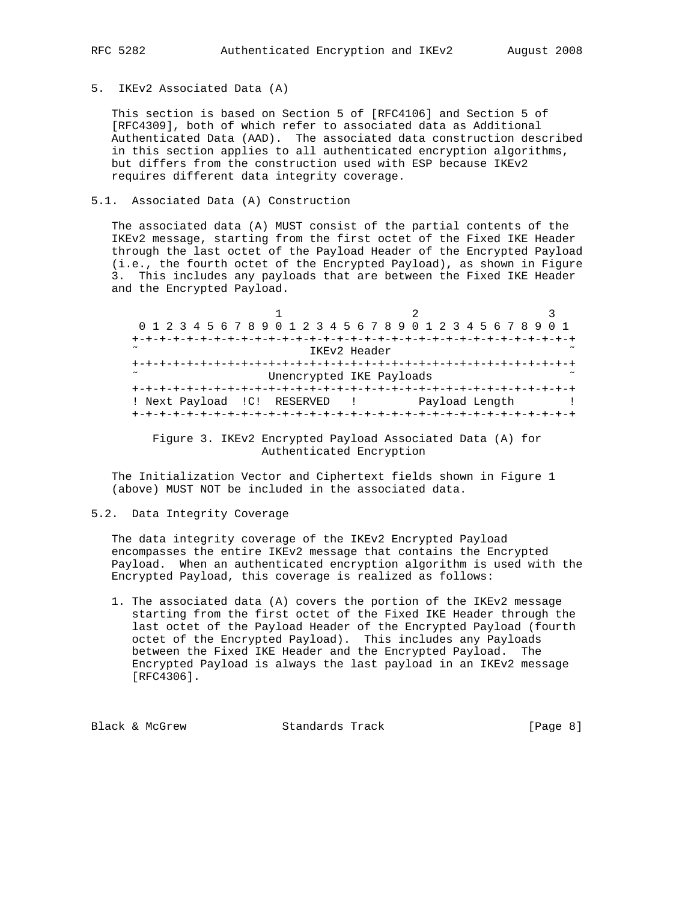5. IKEv2 Associated Data (A)

 This section is based on Section 5 of [RFC4106] and Section 5 of [RFC4309], both of which refer to associated data as Additional Authenticated Data (AAD). The associated data construction described in this section applies to all authenticated encryption algorithms, but differs from the construction used with ESP because IKEv2 requires different data integrity coverage.

#### 5.1. Associated Data (A) Construction

 The associated data (A) MUST consist of the partial contents of the IKEv2 message, starting from the first octet of the Fixed IKE Header through the last octet of the Payload Header of the Encrypted Payload (i.e., the fourth octet of the Encrypted Payload), as shown in Figure 3. This includes any payloads that are between the Fixed IKE Header and the Encrypted Payload.

| 0 1 2 3 4 5 6 7 8 9 0 1 2 3 4 5 6 7 8 9 0 1 2 3 4 5 6 7 8 9 0 1            |  |
|----------------------------------------------------------------------------|--|
|                                                                            |  |
| $\sim$<br>IKEv2 Header                                                     |  |
|                                                                            |  |
| $\sim$<br>Unencrypted IKE Payloads                                         |  |
| -+-+-+-+-+-+-+-+-+-+-+-+-+-+-+-+-+                                         |  |
| ! Next Payload ! C! RESERVED<br>Payload Length<br><b>Contract Contract</b> |  |
| -+-+-+-+-+-+-+-+-+-+-+-                                                    |  |

 Figure 3. IKEv2 Encrypted Payload Associated Data (A) for Authenticated Encryption

 The Initialization Vector and Ciphertext fields shown in Figure 1 (above) MUST NOT be included in the associated data.

5.2. Data Integrity Coverage

 The data integrity coverage of the IKEv2 Encrypted Payload encompasses the entire IKEv2 message that contains the Encrypted Payload. When an authenticated encryption algorithm is used with the Encrypted Payload, this coverage is realized as follows:

 1. The associated data (A) covers the portion of the IKEv2 message starting from the first octet of the Fixed IKE Header through the last octet of the Payload Header of the Encrypted Payload (fourth octet of the Encrypted Payload). This includes any Payloads between the Fixed IKE Header and the Encrypted Payload. The Encrypted Payload is always the last payload in an IKEv2 message [RFC4306].

Black & McGrew Standards Track [Page 8]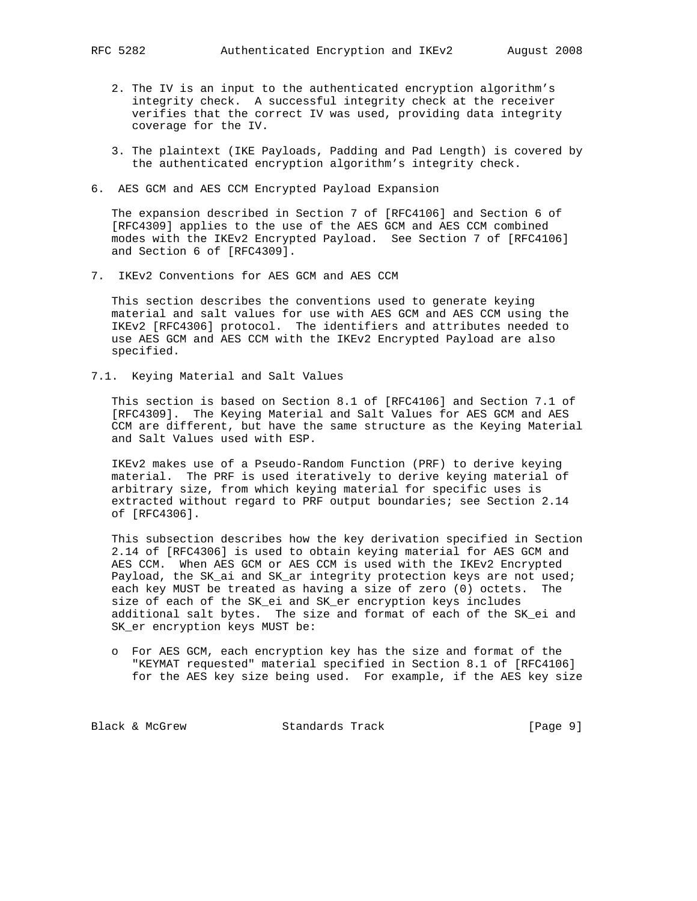- 2. The IV is an input to the authenticated encryption algorithm's integrity check. A successful integrity check at the receiver verifies that the correct IV was used, providing data integrity coverage for the IV.
- 3. The plaintext (IKE Payloads, Padding and Pad Length) is covered by the authenticated encryption algorithm's integrity check.
- 6. AES GCM and AES CCM Encrypted Payload Expansion

 The expansion described in Section 7 of [RFC4106] and Section 6 of [RFC4309] applies to the use of the AES GCM and AES CCM combined modes with the IKEv2 Encrypted Payload. See Section 7 of [RFC4106] and Section 6 of [RFC4309].

7. IKEv2 Conventions for AES GCM and AES CCM

 This section describes the conventions used to generate keying material and salt values for use with AES GCM and AES CCM using the IKEv2 [RFC4306] protocol. The identifiers and attributes needed to use AES GCM and AES CCM with the IKEv2 Encrypted Payload are also specified.

7.1. Keying Material and Salt Values

 This section is based on Section 8.1 of [RFC4106] and Section 7.1 of [RFC4309]. The Keying Material and Salt Values for AES GCM and AES CCM are different, but have the same structure as the Keying Material and Salt Values used with ESP.

 IKEv2 makes use of a Pseudo-Random Function (PRF) to derive keying material. The PRF is used iteratively to derive keying material of arbitrary size, from which keying material for specific uses is extracted without regard to PRF output boundaries; see Section 2.14 of [RFC4306].

 This subsection describes how the key derivation specified in Section 2.14 of [RFC4306] is used to obtain keying material for AES GCM and AES CCM. When AES GCM or AES CCM is used with the IKEv2 Encrypted Payload, the SK\_ai and SK\_ar integrity protection keys are not used; each key MUST be treated as having a size of zero (0) octets. The size of each of the SK\_ei and SK\_er encryption keys includes additional salt bytes. The size and format of each of the SK\_ei and SK\_er encryption keys MUST be:

 o For AES GCM, each encryption key has the size and format of the "KEYMAT requested" material specified in Section 8.1 of [RFC4106] for the AES key size being used. For example, if the AES key size

Black & McGrew Standards Track [Page 9]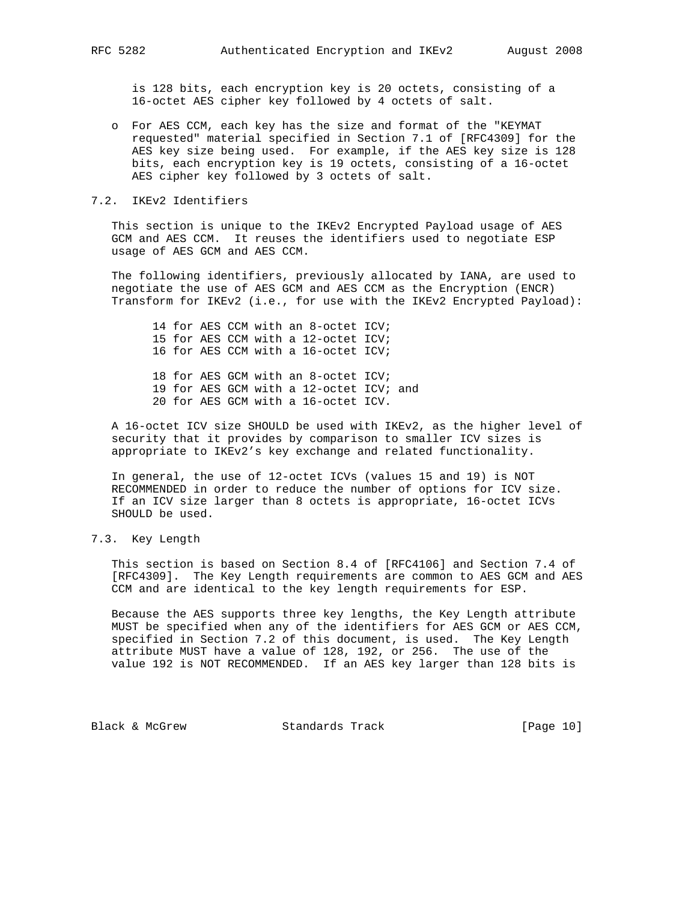is 128 bits, each encryption key is 20 octets, consisting of a 16-octet AES cipher key followed by 4 octets of salt.

 o For AES CCM, each key has the size and format of the "KEYMAT requested" material specified in Section 7.1 of [RFC4309] for the AES key size being used. For example, if the AES key size is 128 bits, each encryption key is 19 octets, consisting of a 16-octet AES cipher key followed by 3 octets of salt.

#### 7.2. IKEv2 Identifiers

 This section is unique to the IKEv2 Encrypted Payload usage of AES GCM and AES CCM. It reuses the identifiers used to negotiate ESP usage of AES GCM and AES CCM.

 The following identifiers, previously allocated by IANA, are used to negotiate the use of AES GCM and AES CCM as the Encryption (ENCR) Transform for IKEv2 (i.e., for use with the IKEv2 Encrypted Payload):

 14 for AES CCM with an 8-octet ICV; 15 for AES CCM with a 12-octet ICV; 16 for AES CCM with a 16-octet ICV; 18 for AES GCM with an 8-octet ICV; 19 for AES GCM with a 12-octet ICV; and 20 for AES GCM with a 16-octet ICV.

 A 16-octet ICV size SHOULD be used with IKEv2, as the higher level of security that it provides by comparison to smaller ICV sizes is appropriate to IKEv2's key exchange and related functionality.

 In general, the use of 12-octet ICVs (values 15 and 19) is NOT RECOMMENDED in order to reduce the number of options for ICV size. If an ICV size larger than 8 octets is appropriate, 16-octet ICVs SHOULD be used.

#### 7.3. Key Length

 This section is based on Section 8.4 of [RFC4106] and Section 7.4 of [RFC4309]. The Key Length requirements are common to AES GCM and AES CCM and are identical to the key length requirements for ESP.

 Because the AES supports three key lengths, the Key Length attribute MUST be specified when any of the identifiers for AES GCM or AES CCM, specified in Section 7.2 of this document, is used. The Key Length attribute MUST have a value of 128, 192, or 256. The use of the value 192 is NOT RECOMMENDED. If an AES key larger than 128 bits is

Black & McGrew Standards Track [Page 10]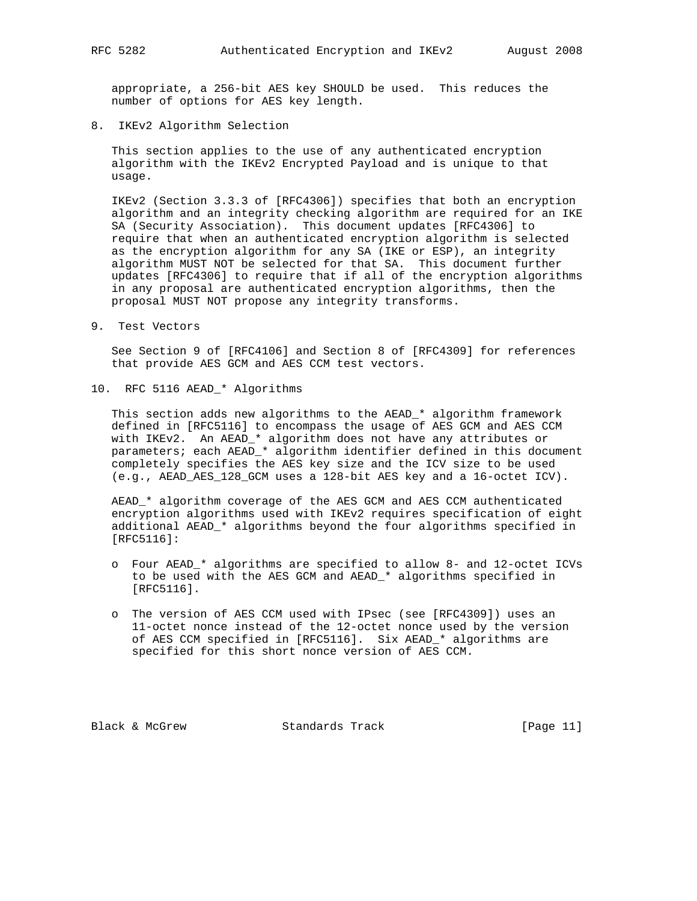appropriate, a 256-bit AES key SHOULD be used. This reduces the number of options for AES key length.

8. IKEv2 Algorithm Selection

 This section applies to the use of any authenticated encryption algorithm with the IKEv2 Encrypted Payload and is unique to that usage.

 IKEv2 (Section 3.3.3 of [RFC4306]) specifies that both an encryption algorithm and an integrity checking algorithm are required for an IKE SA (Security Association). This document updates [RFC4306] to require that when an authenticated encryption algorithm is selected as the encryption algorithm for any SA (IKE or ESP), an integrity algorithm MUST NOT be selected for that SA. This document further updates [RFC4306] to require that if all of the encryption algorithms in any proposal are authenticated encryption algorithms, then the proposal MUST NOT propose any integrity transforms.

9. Test Vectors

 See Section 9 of [RFC4106] and Section 8 of [RFC4309] for references that provide AES GCM and AES CCM test vectors.

10. RFC 5116 AEAD\_\* Algorithms

 This section adds new algorithms to the AEAD\_\* algorithm framework defined in [RFC5116] to encompass the usage of AES GCM and AES CCM with IKEv2. An AEAD\_\* algorithm does not have any attributes or parameters; each AEAD\_\* algorithm identifier defined in this document completely specifies the AES key size and the ICV size to be used (e.g., AEAD\_AES\_128\_GCM uses a 128-bit AES key and a 16-octet ICV).

 AEAD\_\* algorithm coverage of the AES GCM and AES CCM authenticated encryption algorithms used with IKEv2 requires specification of eight additional AEAD\_\* algorithms beyond the four algorithms specified in [RFC5116]:

- o Four AEAD\_\* algorithms are specified to allow 8- and 12-octet ICVs to be used with the AES GCM and AEAD\_\* algorithms specified in [RFC5116].
- o The version of AES CCM used with IPsec (see [RFC4309]) uses an 11-octet nonce instead of the 12-octet nonce used by the version of AES CCM specified in [RFC5116]. Six AEAD\_\* algorithms are specified for this short nonce version of AES CCM.

Black & McGrew Standards Track [Page 11]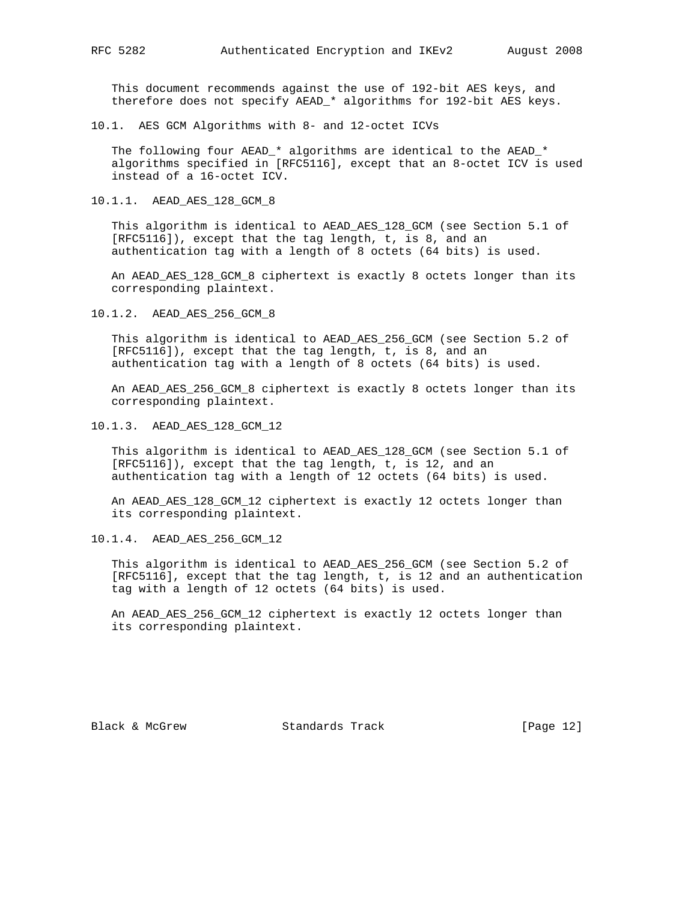This document recommends against the use of 192-bit AES keys, and therefore does not specify AEAD\_\* algorithms for 192-bit AES keys.

10.1. AES GCM Algorithms with 8- and 12-octet ICVs

 The following four AEAD\_\* algorithms are identical to the AEAD\_\* algorithms specified in [RFC5116], except that an 8-octet ICV is used instead of a 16-octet ICV.

10.1.1. AEAD\_AES\_128\_GCM\_8

 This algorithm is identical to AEAD\_AES\_128\_GCM (see Section 5.1 of [RFC5116]), except that the tag length, t, is 8, and an authentication tag with a length of 8 octets (64 bits) is used.

 An AEAD\_AES\_128\_GCM\_8 ciphertext is exactly 8 octets longer than its corresponding plaintext.

10.1.2. AEAD\_AES\_256\_GCM\_8

 This algorithm is identical to AEAD\_AES\_256\_GCM (see Section 5.2 of [RFC5116]), except that the tag length, t, is 8, and an authentication tag with a length of 8 octets (64 bits) is used.

 An AEAD\_AES\_256\_GCM\_8 ciphertext is exactly 8 octets longer than its corresponding plaintext.

10.1.3. AEAD\_AES\_128\_GCM\_12

 This algorithm is identical to AEAD\_AES\_128\_GCM (see Section 5.1 of [RFC5116]), except that the tag length, t, is 12, and an authentication tag with a length of 12 octets (64 bits) is used.

 An AEAD\_AES\_128\_GCM\_12 ciphertext is exactly 12 octets longer than its corresponding plaintext.

10.1.4. AEAD\_AES\_256\_GCM\_12

 This algorithm is identical to AEAD\_AES\_256\_GCM (see Section 5.2 of [RFC5116], except that the tag length, t, is 12 and an authentication tag with a length of 12 octets (64 bits) is used.

 An AEAD\_AES\_256\_GCM\_12 ciphertext is exactly 12 octets longer than its corresponding plaintext.

Black & McGrew Standards Track [Page 12]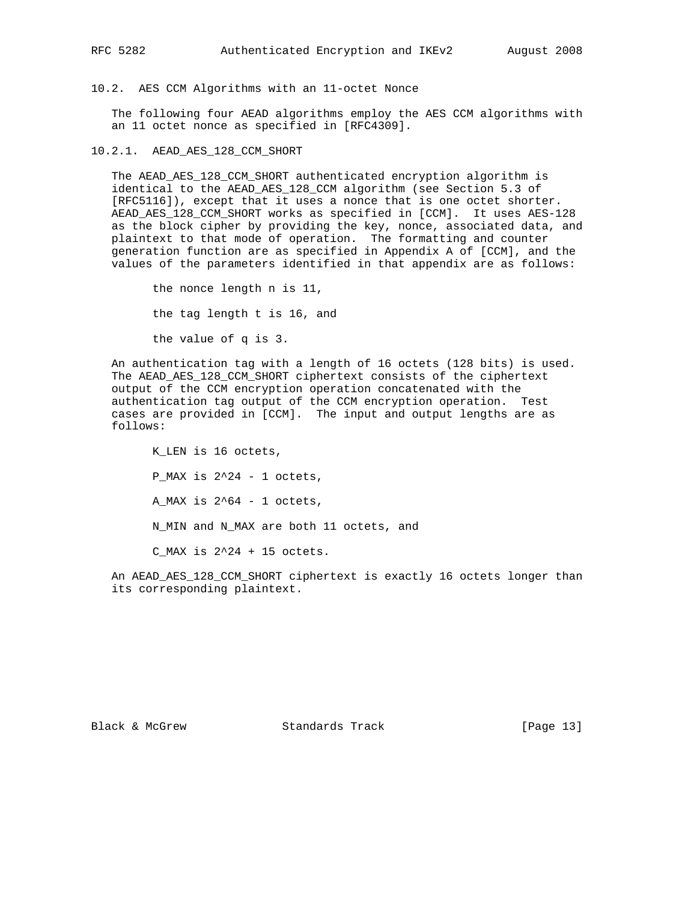10.2. AES CCM Algorithms with an 11-octet Nonce

 The following four AEAD algorithms employ the AES CCM algorithms with an 11 octet nonce as specified in [RFC4309].

10.2.1. AEAD\_AES\_128\_CCM\_SHORT

 The AEAD\_AES\_128\_CCM\_SHORT authenticated encryption algorithm is identical to the AEAD\_AES\_128\_CCM algorithm (see Section 5.3 of [RFC5116]), except that it uses a nonce that is one octet shorter. AEAD\_AES\_128\_CCM\_SHORT works as specified in [CCM]. It uses AES-128 as the block cipher by providing the key, nonce, associated data, and plaintext to that mode of operation. The formatting and counter generation function are as specified in Appendix A of [CCM], and the values of the parameters identified in that appendix are as follows:

 the nonce length n is 11, the tag length t is 16, and the value of q is 3.

 An authentication tag with a length of 16 octets (128 bits) is used. The AEAD\_AES\_128\_CCM\_SHORT ciphertext consists of the ciphertext output of the CCM encryption operation concatenated with the authentication tag output of the CCM encryption operation. Test cases are provided in [CCM]. The input and output lengths are as follows:

 K\_LEN is 16 octets, P\_MAX is  $2^2-1$  octets, A MAX is  $2^64 - 1$  octets, N\_MIN and N\_MAX are both 11 octets, and  $C_MAX$  is  $2^24 + 15$  octets.

 An AEAD\_AES\_128\_CCM\_SHORT ciphertext is exactly 16 octets longer than its corresponding plaintext.

Black & McGrew Standards Track [Page 13]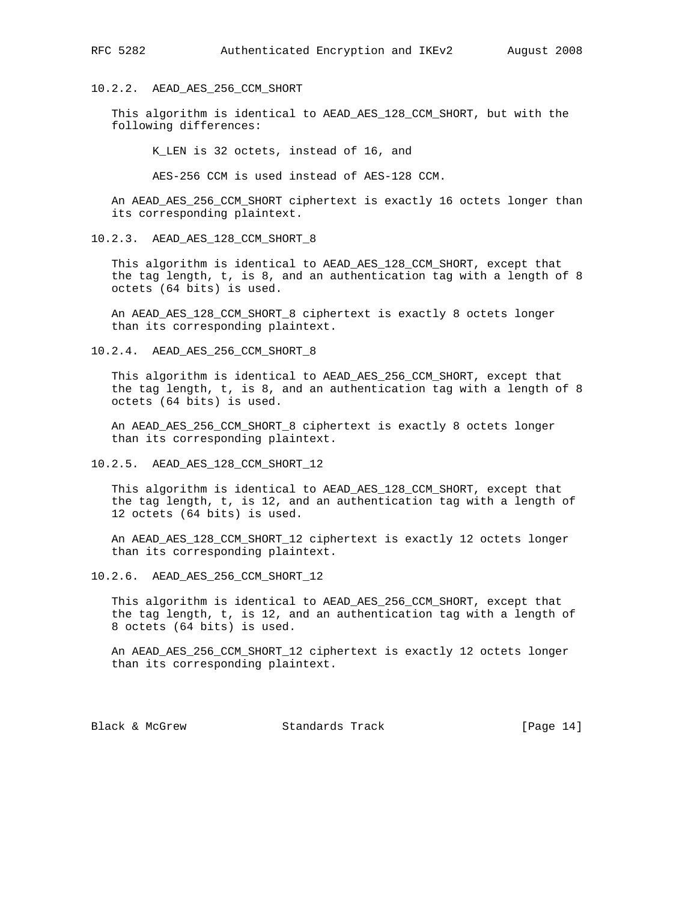#### 10.2.2. AEAD\_AES\_256\_CCM\_SHORT

 This algorithm is identical to AEAD\_AES\_128\_CCM\_SHORT, but with the following differences:

K\_LEN is 32 octets, instead of 16, and

AES-256 CCM is used instead of AES-128 CCM.

 An AEAD\_AES\_256\_CCM\_SHORT ciphertext is exactly 16 octets longer than its corresponding plaintext.

10.2.3. AEAD\_AES\_128\_CCM\_SHORT\_8

 This algorithm is identical to AEAD\_AES\_128\_CCM\_SHORT, except that the tag length, t, is 8, and an authentication tag with a length of 8 octets (64 bits) is used.

 An AEAD\_AES\_128\_CCM\_SHORT\_8 ciphertext is exactly 8 octets longer than its corresponding plaintext.

10.2.4. AEAD\_AES\_256\_CCM\_SHORT\_8

 This algorithm is identical to AEAD\_AES\_256\_CCM\_SHORT, except that the tag length, t, is 8, and an authentication tag with a length of 8 octets (64 bits) is used.

 An AEAD\_AES\_256\_CCM\_SHORT\_8 ciphertext is exactly 8 octets longer than its corresponding plaintext.

10.2.5. AEAD\_AES\_128\_CCM\_SHORT\_12

 This algorithm is identical to AEAD\_AES\_128\_CCM\_SHORT, except that the tag length, t, is 12, and an authentication tag with a length of 12 octets (64 bits) is used.

 An AEAD\_AES\_128\_CCM\_SHORT\_12 ciphertext is exactly 12 octets longer than its corresponding plaintext.

10.2.6. AEAD\_AES\_256\_CCM\_SHORT\_12

 This algorithm is identical to AEAD\_AES\_256\_CCM\_SHORT, except that the tag length, t, is 12, and an authentication tag with a length of 8 octets (64 bits) is used.

 An AEAD\_AES\_256\_CCM\_SHORT\_12 ciphertext is exactly 12 octets longer than its corresponding plaintext.

Black & McGrew Standards Track [Page 14]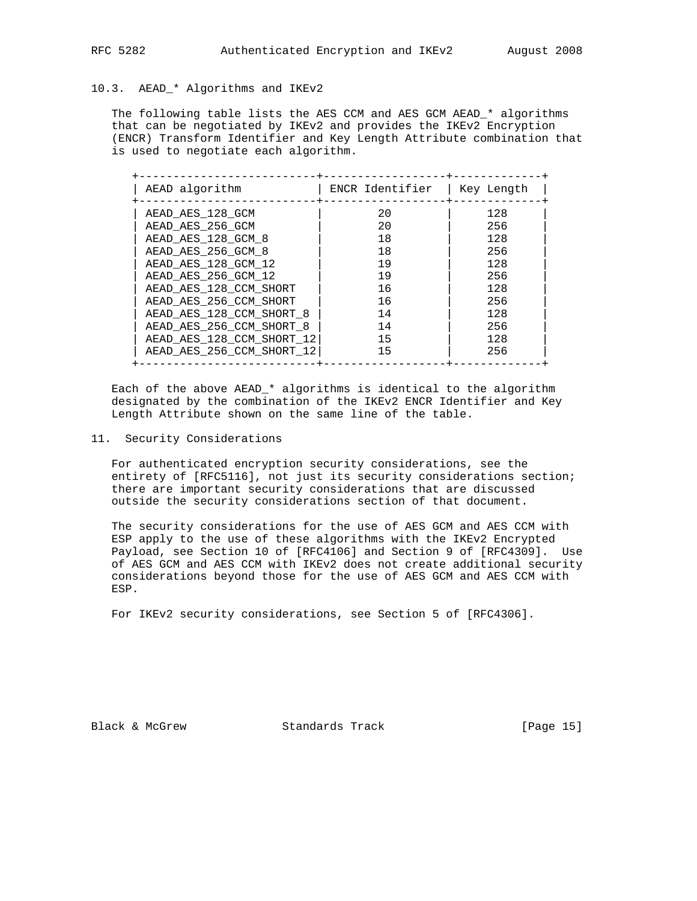## 10.3. AEAD\_\* Algorithms and IKEv2

 The following table lists the AES CCM and AES GCM AEAD\_\* algorithms that can be negotiated by IKEv2 and provides the IKEv2 Encryption (ENCR) Transform Identifier and Key Length Attribute combination that is used to negotiate each algorithm.

| AEAD algorithm            | ENCR Identifier | Key Length |
|---------------------------|-----------------|------------|
| AEAD AES 128 GCM          | 20              | 128        |
| AEAD AES 256 GCM          | 20              | 256        |
| AEAD AES 128 GCM 8        | 18              | 128        |
| AEAD AES 256 GCM 8        | 18              | 256        |
| AEAD AES 128 GCM 12       | 19              | 128        |
| AEAD AES 256 GCM 12       | 19              | 256        |
| AEAD AES 128 CCM SHORT    | 16              | 128        |
| AEAD AES 256 CCM SHORT    | 16              | 256        |
| AEAD AES 128 CCM SHORT 8  | 14              | 128        |
| AEAD AES 256 CCM SHORT 8  | 14              | 256        |
| AEAD_AES_128_CCM_SHORT 12 | 15              | 128        |
| AEAD AES 256 CCM SHORT 12 | 15              | 256        |

 Each of the above AEAD\_\* algorithms is identical to the algorithm designated by the combination of the IKEv2 ENCR Identifier and Key Length Attribute shown on the same line of the table.

11. Security Considerations

 For authenticated encryption security considerations, see the entirety of [RFC5116], not just its security considerations section; there are important security considerations that are discussed outside the security considerations section of that document.

 The security considerations for the use of AES GCM and AES CCM with ESP apply to the use of these algorithms with the IKEv2 Encrypted Payload, see Section 10 of [RFC4106] and Section 9 of [RFC4309]. Use of AES GCM and AES CCM with IKEv2 does not create additional security considerations beyond those for the use of AES GCM and AES CCM with ESP.

For IKEv2 security considerations, see Section 5 of [RFC4306].

Black & McGrew Standards Track [Page 15]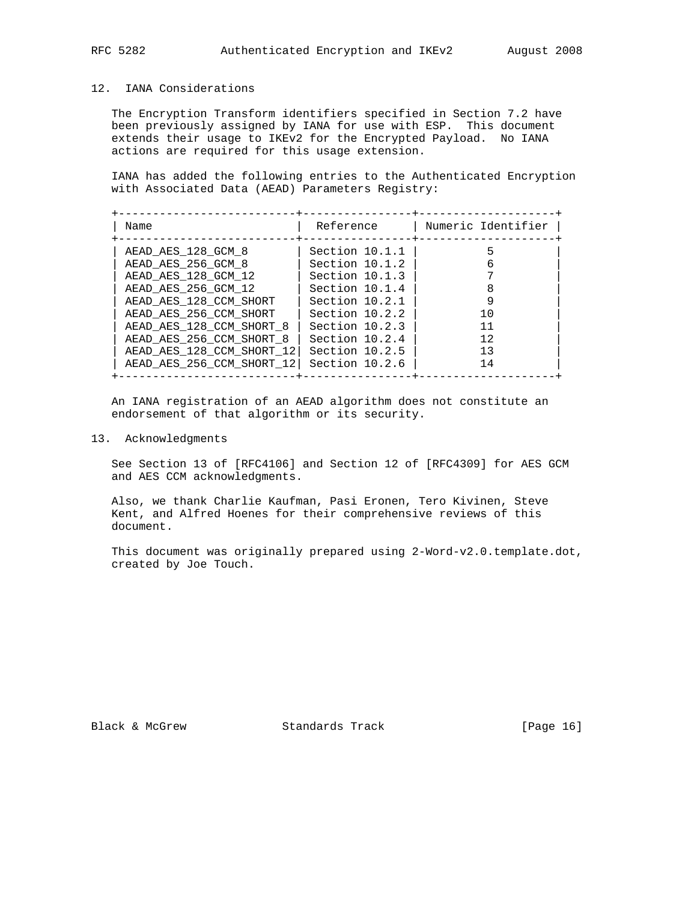#### 12. IANA Considerations

 The Encryption Transform identifiers specified in Section 7.2 have been previously assigned by IANA for use with ESP. This document extends their usage to IKEv2 for the Encrypted Payload. No IANA actions are required for this usage extension.

 IANA has added the following entries to the Authenticated Encryption with Associated Data (AEAD) Parameters Registry:

| Name                      | Reference      | Numeric Identifier |
|---------------------------|----------------|--------------------|
| AEAD AES 128 GCM 8        | Section 10.1.1 |                    |
| AEAD AES 256 GCM 8        | Section 10.1.2 |                    |
| AEAD AES 128 GCM 12       | Section 10.1.3 |                    |
| AEAD AES 256 GCM 12       | Section 10.1.4 |                    |
| AEAD AES 128 CCM SHORT    | Section 10.2.1 |                    |
| AEAD AES 256 CCM SHORT    | Section 10.2.2 | 10                 |
| AEAD AES 128 CCM SHORT 8  | Section 10.2.3 | 11                 |
| AEAD AES 256 CCM SHORT 8  | Section 10.2.4 | 12                 |
| AEAD_AES_128_CCM_SHORT 12 | Section 10.2.5 | 13                 |
| AEAD_AES_256_CCM_SHORT_12 | Section 10.2.6 | 14                 |

 An IANA registration of an AEAD algorithm does not constitute an endorsement of that algorithm or its security.

13. Acknowledgments

 See Section 13 of [RFC4106] and Section 12 of [RFC4309] for AES GCM and AES CCM acknowledgments.

 Also, we thank Charlie Kaufman, Pasi Eronen, Tero Kivinen, Steve Kent, and Alfred Hoenes for their comprehensive reviews of this document.

 This document was originally prepared using 2-Word-v2.0.template.dot, created by Joe Touch.

Black & McGrew Standards Track [Page 16]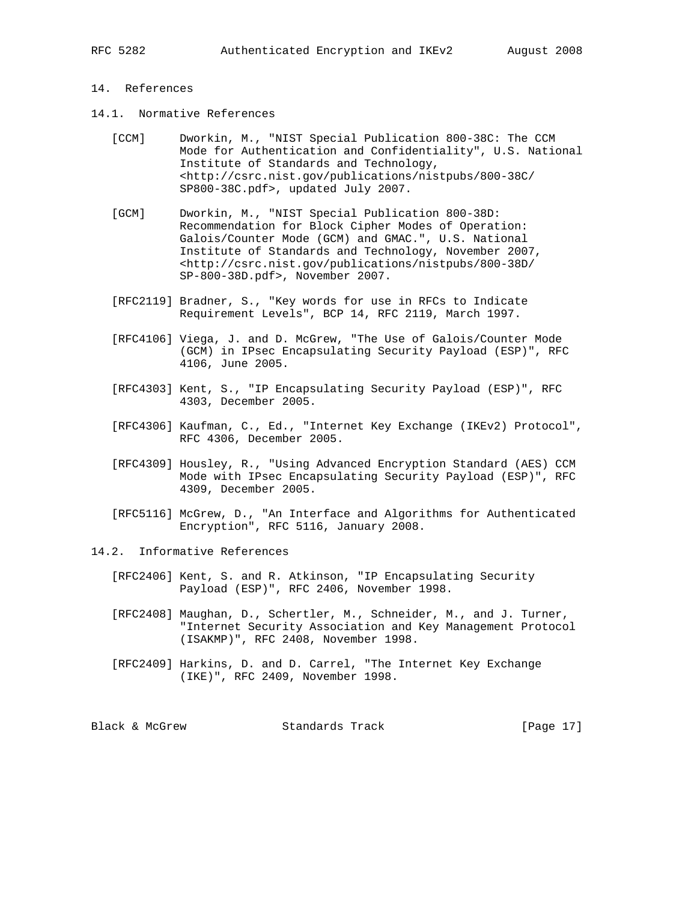### 14. References

- 14.1. Normative References
	- [CCM] Dworkin, M., "NIST Special Publication 800-38C: The CCM Mode for Authentication and Confidentiality", U.S. National Institute of Standards and Technology, <http://csrc.nist.gov/publications/nistpubs/800-38C/ SP800-38C.pdf>, updated July 2007.
	- [GCM] Dworkin, M., "NIST Special Publication 800-38D: Recommendation for Block Cipher Modes of Operation: Galois/Counter Mode (GCM) and GMAC.", U.S. National Institute of Standards and Technology, November 2007, <http://csrc.nist.gov/publications/nistpubs/800-38D/ SP-800-38D.pdf>, November 2007.
	- [RFC2119] Bradner, S., "Key words for use in RFCs to Indicate Requirement Levels", BCP 14, RFC 2119, March 1997.
	- [RFC4106] Viega, J. and D. McGrew, "The Use of Galois/Counter Mode (GCM) in IPsec Encapsulating Security Payload (ESP)", RFC 4106, June 2005.
	- [RFC4303] Kent, S., "IP Encapsulating Security Payload (ESP)", RFC 4303, December 2005.
	- [RFC4306] Kaufman, C., Ed., "Internet Key Exchange (IKEv2) Protocol", RFC 4306, December 2005.
	- [RFC4309] Housley, R., "Using Advanced Encryption Standard (AES) CCM Mode with IPsec Encapsulating Security Payload (ESP)", RFC 4309, December 2005.
	- [RFC5116] McGrew, D., "An Interface and Algorithms for Authenticated Encryption", RFC 5116, January 2008.
- 14.2. Informative References
	- [RFC2406] Kent, S. and R. Atkinson, "IP Encapsulating Security Payload (ESP)", RFC 2406, November 1998.
	- [RFC2408] Maughan, D., Schertler, M., Schneider, M., and J. Turner, "Internet Security Association and Key Management Protocol (ISAKMP)", RFC 2408, November 1998.
	- [RFC2409] Harkins, D. and D. Carrel, "The Internet Key Exchange (IKE)", RFC 2409, November 1998.

Black & McGrew Standards Track [Page 17]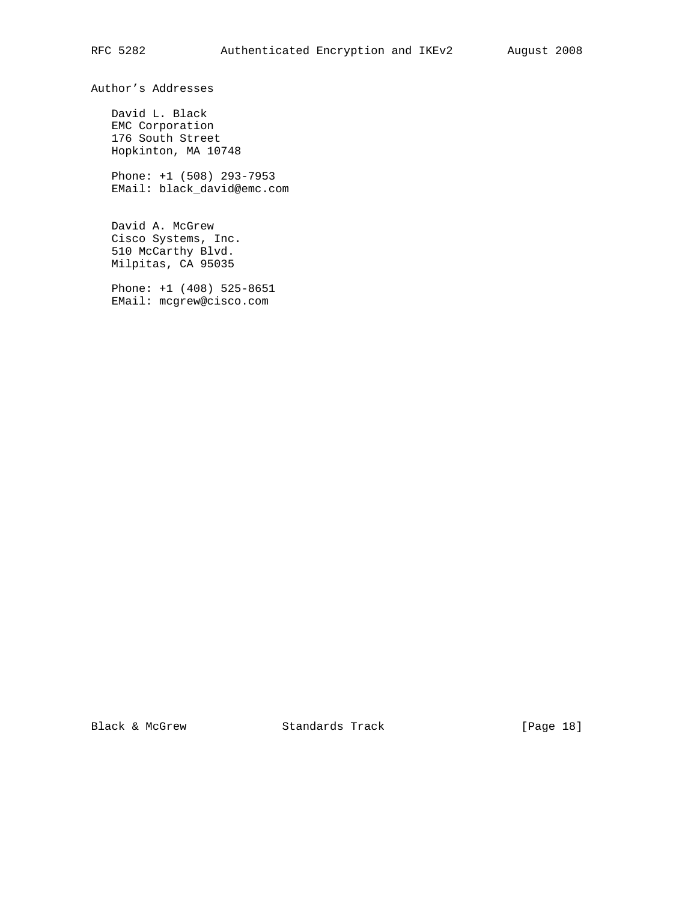Author's Addresses

 David L. Black EMC Corporation 176 South Street Hopkinton, MA 10748

 Phone: +1 (508) 293-7953 EMail: black\_david@emc.com

 David A. McGrew Cisco Systems, Inc. 510 McCarthy Blvd. Milpitas, CA 95035

 Phone: +1 (408) 525-8651 EMail: mcgrew@cisco.com

Black & McGrew Standards Track [Page 18]